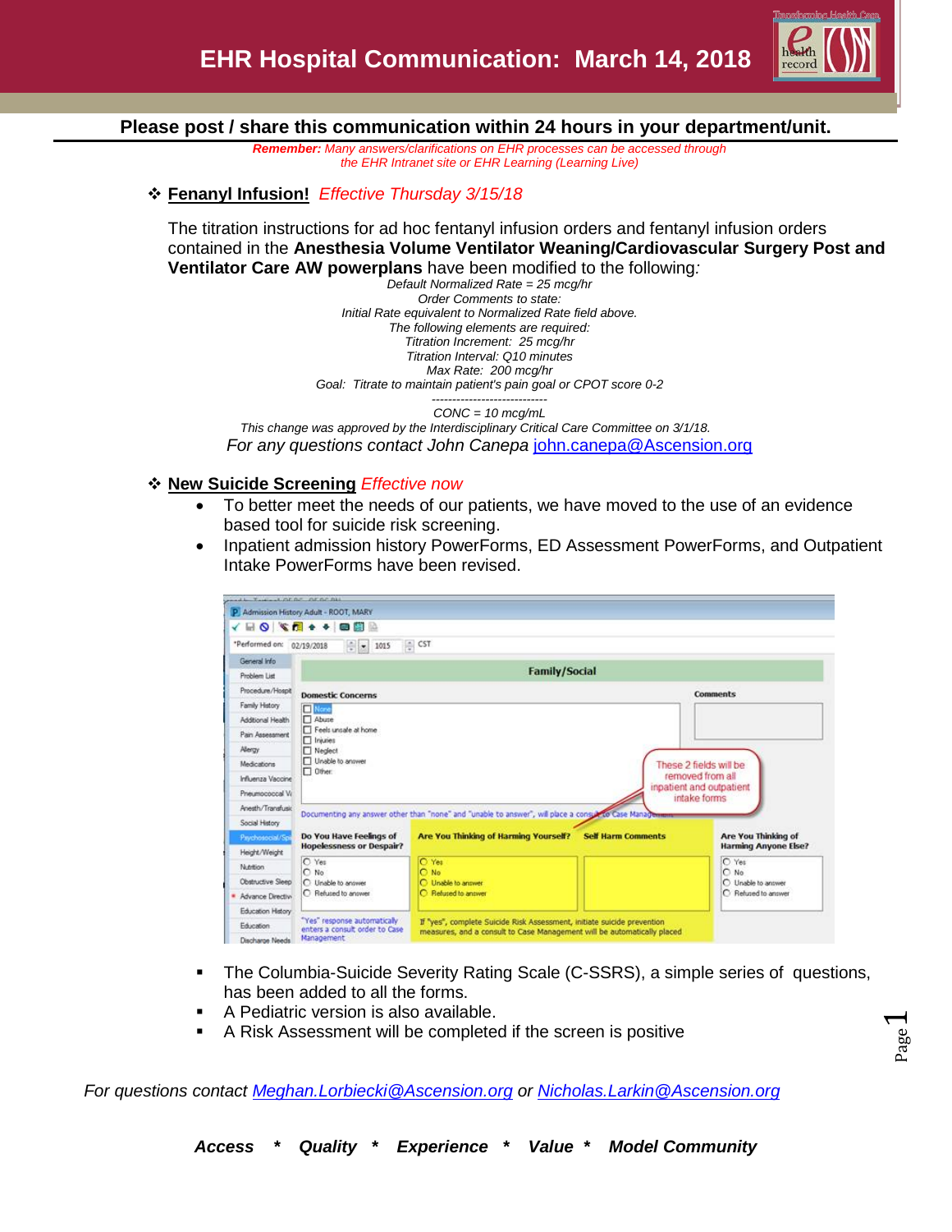

**Please post / share this communication within 24 hours in your department/unit.**

*Remember: Many answers/clarifications on EHR processes can be accessed through the EHR Intranet site or EHR Learning (Learning Live)*

# **Fenanyl Infusion!** *Effective Thursday 3/15/18*

The titration instructions for ad hoc fentanyl infusion orders and fentanyl infusion orders contained in the **Anesthesia Volume Ventilator Weaning/Cardiovascular Surgery Post and Ventilator Care AW powerplans** have been modified to the following*:*

*Default Normalized Rate = 25 mcg/hr Order Comments to state: Initial Rate equivalent to Normalized Rate field above. The following elements are required: Titration Increment: 25 mcg/hr Titration Interval: Q10 minutes Max Rate: 200 mcg/hr Goal: Titrate to maintain patient's pain goal or CPOT score 0-2*

*---------------------------- CONC = 10 mcg/mL This change was approved by the Interdisciplinary Critical Care Committee on 3/1/18. For any questions contact John Canepa* [john.canepa@Ascension.org](mailto:john.canepa@Ascension.org)

#### **New Suicide Screening** *Effective now*

- To better meet the needs of our patients, we have moved to the use of an evidence based tool for suicide risk screening.
- Inpatient admission history PowerForms, ED Assessment PowerForms, and Outpatient Intake PowerForms have been revised.

|                                          | P Admission History Adult - ROOT, MARY                                                                      |                                                                                                                                                    |                           |                                      |
|------------------------------------------|-------------------------------------------------------------------------------------------------------------|----------------------------------------------------------------------------------------------------------------------------------------------------|---------------------------|--------------------------------------|
|                                          | <b>△ HB → ◆ MB ◇ ◆ BB</b>                                                                                   |                                                                                                                                                    |                           |                                      |
| *Performed on: 02/19/2018                | $\frac{1}{2}$ = 1015                                                                                        | CST                                                                                                                                                |                           |                                      |
| General Info                             |                                                                                                             |                                                                                                                                                    |                           |                                      |
| Problem List                             |                                                                                                             | <b>Family/Social</b>                                                                                                                               |                           |                                      |
| Procedure/Hospit                         | <b>Domestic Concerns</b>                                                                                    |                                                                                                                                                    |                           | <b>Comments</b>                      |
| Family History                           | None                                                                                                        |                                                                                                                                                    |                           |                                      |
| Additional Health                        | Abuse                                                                                                       |                                                                                                                                                    |                           |                                      |
| Pain Assessment                          | Feels unsale at home<br>$\Box$ Injuries                                                                     |                                                                                                                                                    |                           |                                      |
| Allergy                                  | Neglect                                                                                                     |                                                                                                                                                    |                           |                                      |
| Medications                              | Unable to answer<br>These 2 fields will be<br>$\Box$ Other:<br>removed from all<br>inpatient and outpatient |                                                                                                                                                    |                           |                                      |
| Influenza Vaccine                        |                                                                                                             |                                                                                                                                                    |                           |                                      |
|                                          |                                                                                                             |                                                                                                                                                    |                           |                                      |
| Pneumococcal Vi                          |                                                                                                             |                                                                                                                                                    |                           |                                      |
| Anesth/Transfusio                        |                                                                                                             |                                                                                                                                                    |                           | intake forms                         |
| Social History                           |                                                                                                             | Documenting any answer other than "none" and "unable to answer", will place a consult to Case Management                                           |                           |                                      |
| Paychosocial/Sp                          | Do You Have Feelings of                                                                                     | <b>Are You Thinking of Harming Yourself?</b>                                                                                                       | <b>Self Harm Comments</b> | Are You Thinking of                  |
| Height/Weight                            | <b>Hopelessness or Despair?</b>                                                                             |                                                                                                                                                    |                           |                                      |
| Nutrition                                | C Yes                                                                                                       | O Yes                                                                                                                                              |                           | <b>Harming Anyone Else?</b><br>C Yes |
| <b>Obstructive Sleep</b>                 | $\cap$ No<br>C Unable to answer                                                                             | O No<br>C Unable to answer                                                                                                                         |                           | $O$ No<br>C Unable to answer         |
|                                          | C Refused to answer                                                                                         | C Refused to answer                                                                                                                                |                           | C Retused to answer                  |
| · Advance Directive<br>Education History |                                                                                                             |                                                                                                                                                    |                           |                                      |
| Education<br>Discharge Needs             | "Yes" response automatically<br>enters a consult order to Case<br>Management                                | If "yes", complete Suicide Risk Assessment, initiate suicide prevention<br>measures, and a consult to Case Management will be automatically placed |                           |                                      |

- The Columbia-Suicide Severity Rating Scale (C-SSRS), a simple series of questions, has been added to all the forms.
- A Pediatric version is also available.
- A Risk Assessment will be completed if the screen is positive

*For questions contact [Meghan.Lorbiecki@Ascension.org](mailto:Meghan.Lorbiecki@Ascension.org) or [Nicholas.Larkin@Ascension.org](mailto:Nicholas.Larkin@Ascension.org)*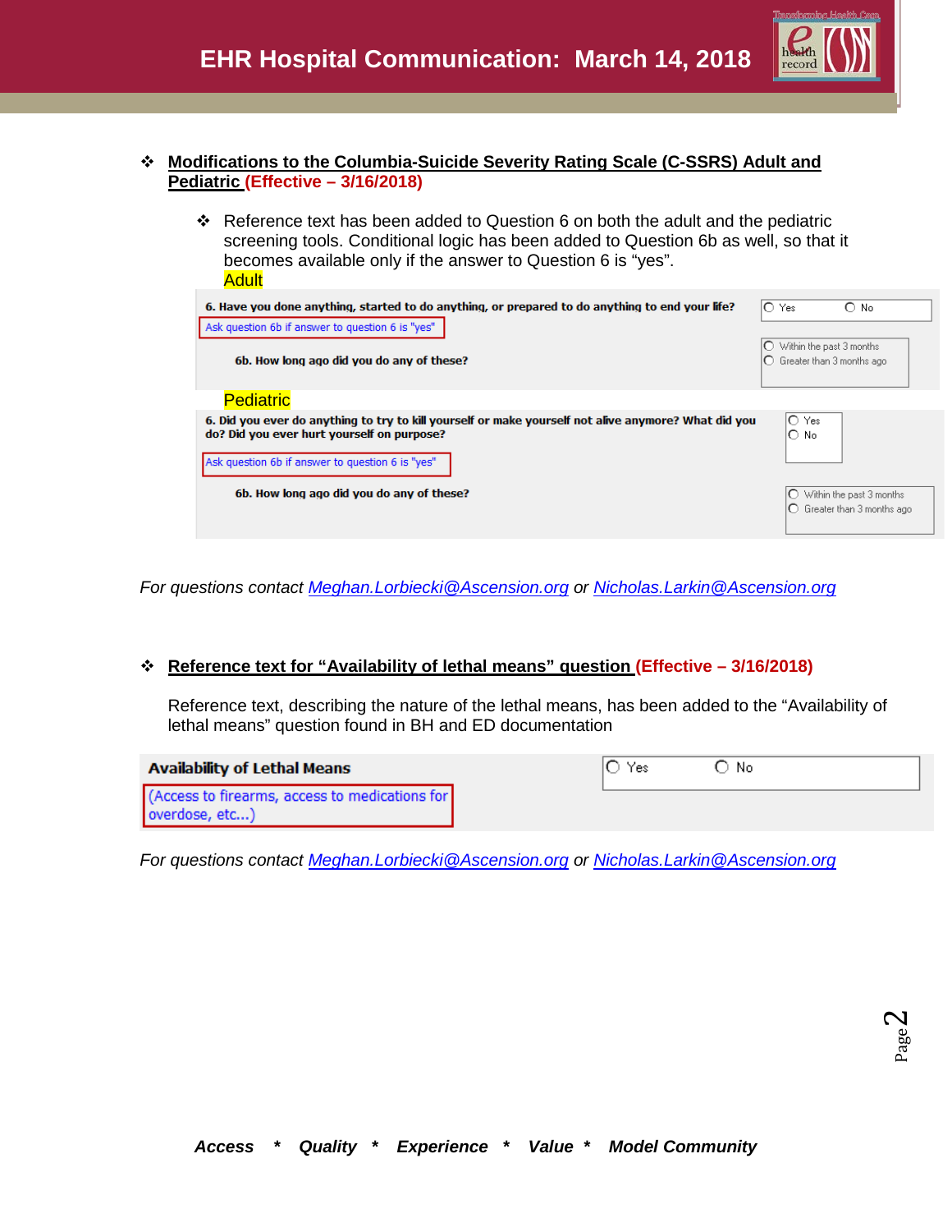

## **Modifications to the Columbia-Suicide Severity Rating Scale (C-SSRS) Adult and Pediatric (Effective – 3/16/2018)**

 Reference text has been added to Question 6 on both the adult and the pediatric screening tools. Conditional logic has been added to Question 6b as well, so that it becomes available only if the answer to Question 6 is "yes". Adult

| 6. Have you done anything, started to do anything, or prepared to do anything to end your life?                                                    | IO Yes<br>O<br>No.                                               |
|----------------------------------------------------------------------------------------------------------------------------------------------------|------------------------------------------------------------------|
| Ask question 6b if answer to question 6 is "yes"                                                                                                   |                                                                  |
| 6b. How long ago did you do any of these?                                                                                                          | $\bigcirc$ Within the past 3 months<br>Greater than 3 months ago |
| <b>Pediatric</b>                                                                                                                                   |                                                                  |
| 6. Did you ever do anything to try to kill yourself or make yourself not alive anymore? What did you<br>do? Did you ever hurt yourself on purpose? | IO Yes<br>∩<br>⊢No                                               |
| Ask question 6b if answer to question 6 is "yes"                                                                                                   |                                                                  |
| 6b. How long ago did you do any of these?                                                                                                          | Within the past 3 months<br>Greater than 3 months ago            |

*For questions contact [Meghan.Lorbiecki@Ascension.org](mailto:Meghan.Lorbiecki@Ascension.org) or [Nicholas.Larkin@Ascension.org](mailto:Nicholas.Larkin@Ascension.org)*

## **Reference text for "Availability of lethal means" question (Effective – 3/16/2018)**

Reference text, describing the nature of the lethal means, has been added to the "Availability of lethal means" question found in BH and ED documentation

| <b>Availability of Lethal Means</b>                              | Yes | ≧ No |
|------------------------------------------------------------------|-----|------|
| (Access to firearms, access to medications for<br>overdose, etc) |     |      |

*For questions contact [Meghan.Lorbiecki@Ascension.org](mailto:Meghan.Lorbiecki@Ascension.org) or [Nicholas.Larkin@Ascension.org](mailto:Nicholas.Larkin@Ascension.org)*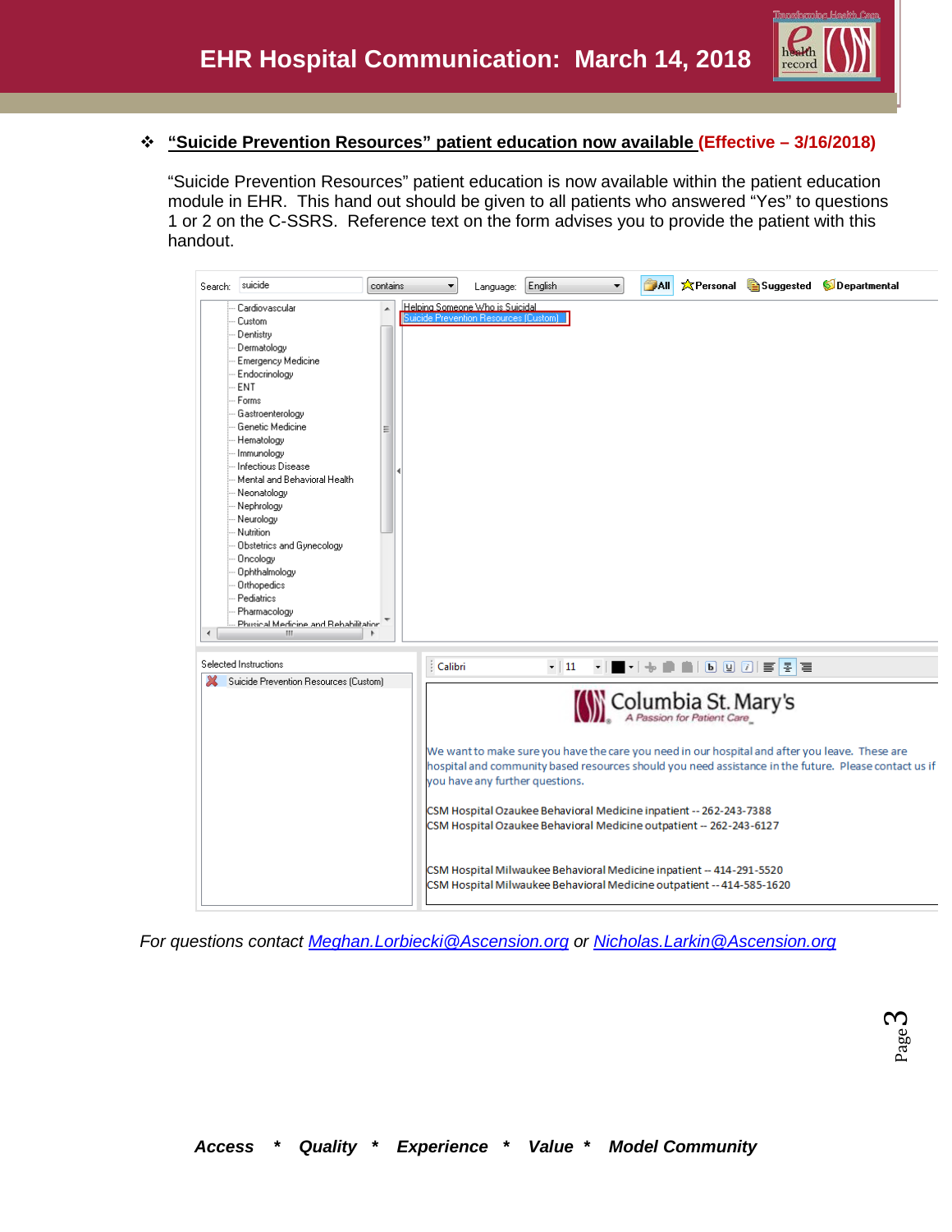

## **"Suicide Prevention Resources" patient education now available (Effective – 3/16/2018)**

"Suicide Prevention Resources" patient education is now available within the patient education module in EHR. This hand out should be given to all patients who answered "Yes" to questions 1 or 2 on the C-SSRS. Reference text on the form advises you to provide the patient with this handout.



*For questions contact [Meghan.Lorbiecki@Ascension.org](mailto:Meghan.Lorbiecki@Ascension.org) or [Nicholas.Larkin@Ascension.org](mailto:Nicholas.Larkin@Ascension.org)*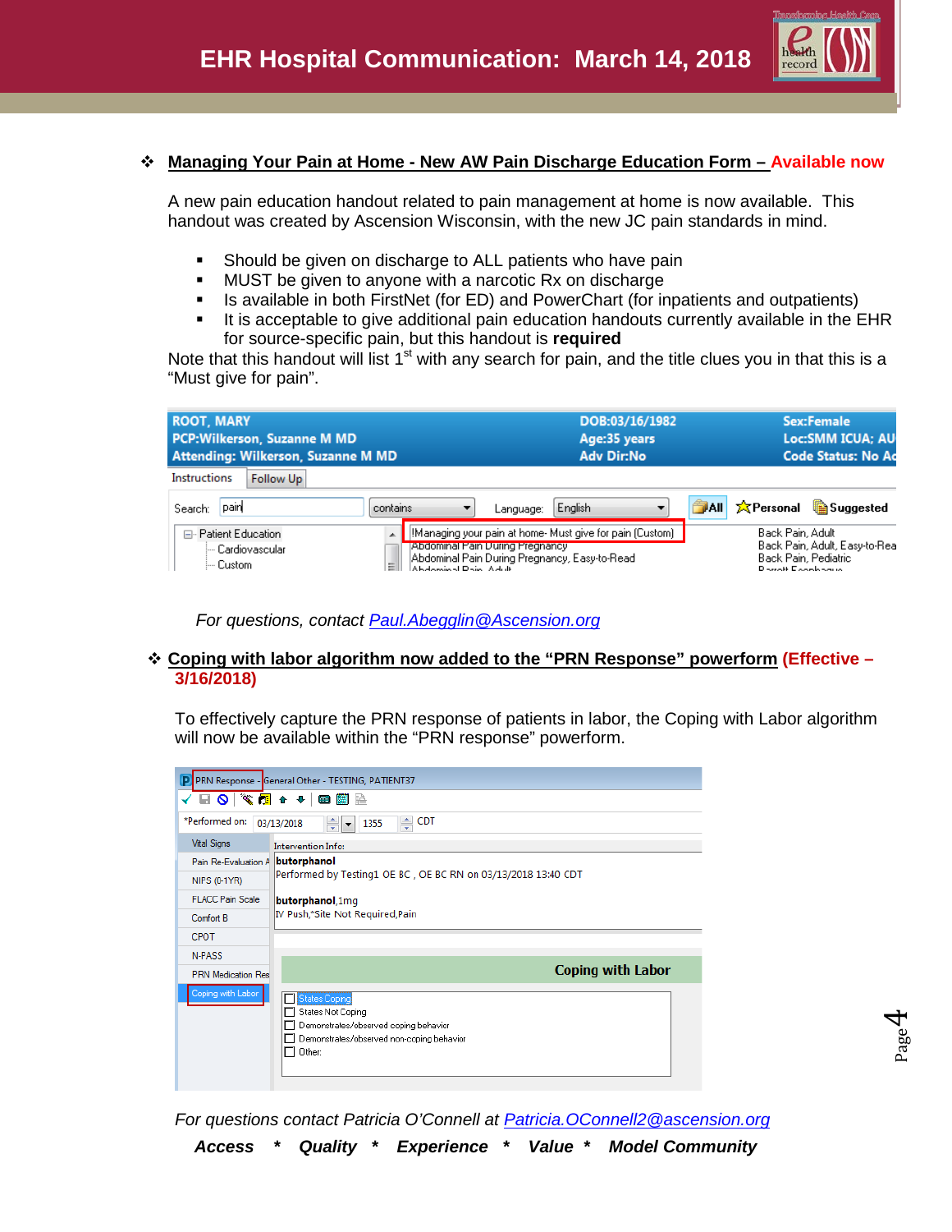

Page 4

## **Managing Your Pain at Home - New AW Pain Discharge Education Form – Available now**

A new pain education handout related to pain management at home is now available. This handout was created by Ascension Wisconsin, with the new JC pain standards in mind.

- Should be given on discharge to ALL patients who have pain
- MUST be given to anyone with a narcotic Rx on discharge
- Is available in both FirstNet (for ED) and PowerChart (for inpatients and outpatients)
- It is acceptable to give additional pain education handouts currently available in the  $EHR$ for source-specific pain, but this handout is **required**

Note that this handout will list  $1<sup>st</sup>$  with any search for pain, and the title clues you in that this is a "Must give for pain".

| <b>ROOT, MARY</b><br><b>PCP:Wilkerson, Suzanne M MD</b><br>Attending: Wilkerson, Suzanne M MD |                                                               |           | DOB:03/16/1982<br>Age:35 years<br><b>Adv Dir:No</b>                                                        |             |                                                                     | <b>Sex:Female</b><br>Loc:SMM ICUA; AU<br><b>Code Status: No Ac</b> |
|-----------------------------------------------------------------------------------------------|---------------------------------------------------------------|-----------|------------------------------------------------------------------------------------------------------------|-------------|---------------------------------------------------------------------|--------------------------------------------------------------------|
| <b>Instructions</b><br>Follow Up                                                              |                                                               |           |                                                                                                            |             |                                                                     |                                                                    |
| pain<br>Search:                                                                               | contains                                                      | Language: | English                                                                                                    | <b>TAIL</b> | 文Personal                                                           | <b>Suggested</b>                                                   |
| □ Patient Education<br>i— Cardiovascular.<br>l— Custom.                                       | Abdominal Pain During Pregnancy<br>Ξ<br>Abdominal Dain, Adult |           | [!Managing your pain at home- Must give for pain (Custom)<br>Abdominal Pain During Pregnancy, Easy-to-Read |             | Back Pain, Adult<br>Back Pain, Pediatric<br>District Example on the | Back Pain, Adult, Easy-to-Real                                     |

#### **Coping with labor algorithm now added to the "PRN Response" powerform (Effective – 3/16/2018)**

To effectively capture the PRN response of patients in labor, the Coping with Labor algorithm will now be available within the "PRN response" powerform.

| PRN Response - General Other - TESTING, PATIENT37<br>P |                                                                                                                                    |  |  |  |  |
|--------------------------------------------------------|------------------------------------------------------------------------------------------------------------------------------------|--|--|--|--|
| ◼◙▏▓▩◂◂▮▩▦                                             |                                                                                                                                    |  |  |  |  |
| *Performed on:                                         | CDT<br>÷<br>≑<br>03/13/2018<br>1355<br>l.                                                                                          |  |  |  |  |
| <b>Vital Signs</b>                                     | Intervention Info:                                                                                                                 |  |  |  |  |
| Pain Re-Evaluation A                                   | butorphanol                                                                                                                        |  |  |  |  |
| NIPS (0-1YR)                                           | Performed by Testing1 OE BC, OE BC RN on 03/13/2018 13:40 CDT                                                                      |  |  |  |  |
| <b>FLACC Pain Scale</b>                                | butorphanol, 1mg                                                                                                                   |  |  |  |  |
| Comfort B                                              | IV Push,*Site Not Required,Pain                                                                                                    |  |  |  |  |
| CPOT                                                   |                                                                                                                                    |  |  |  |  |
| N-PASS                                                 |                                                                                                                                    |  |  |  |  |
| <b>PRN</b> Medication Res                              | <b>Coping with Labor</b>                                                                                                           |  |  |  |  |
| Coping with Labor                                      | States Coping<br>States Not Coping<br>Demonstrates/observed coping behavior<br>Demonstrates/observed non-coping behavior<br>Other: |  |  |  |  |

*For questions contact Patricia O'Connell at [Patricia.OConnell2@ascension.org](mailto:Patricia.OConnell2@ascension.org)*

*For questions, contact [Paul.Abegglin@Ascension.org](mailto:Paul.Abegglin@Ascension.org)*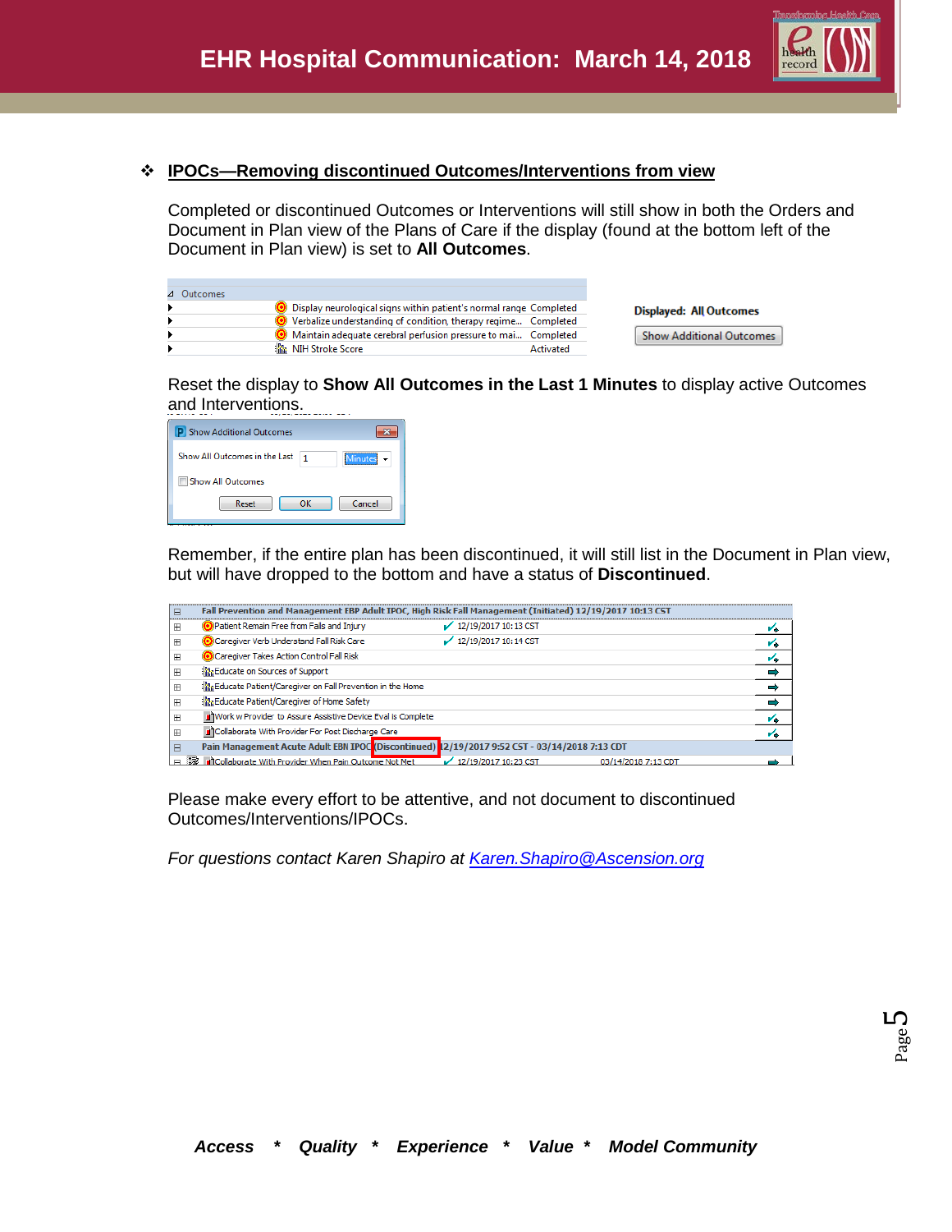

## **IPOCs—Removing discontinued Outcomes/Interventions from view**

Completed or discontinued Outcomes or Interventions will still show in both the Orders and Document in Plan view of the Plans of Care if the display (found at the bottom left of the Document in Plan view) is set to **All Outcomes**.

| 4 Outcomes |                                                                        |                                 |
|------------|------------------------------------------------------------------------|---------------------------------|
|            | ◯ Display neurological signs within patient's normal range Completed   | <b>Displayed: All Outcomes</b>  |
|            | ◯ Verbalize understanding of condition, therapy regime Completed       |                                 |
|            | ighthal Maintain adequate cerebral perfusion pressure to mai Completed | <b>Show Additional Outcomes</b> |
|            | 指版   NIH Stroke Score <br>Activated                                    |                                 |

Reset the display to **Show All Outcomes in the Last 1 Minutes** to display active Outcomes and Interventions.

| <b>P</b> Show Additional Outcomes                          |  |  |  |
|------------------------------------------------------------|--|--|--|
| ---------------<br>Show All Outcomes in the Last<br>etinut |  |  |  |
| <b>Show All Outcomes</b>                                   |  |  |  |
| Cancel<br>Reset<br>OK                                      |  |  |  |
|                                                            |  |  |  |

Remember, if the entire plan has been discontinued, it will still list in the Document in Plan view, but will have dropped to the bottom and have a status of **Discontinued**.

| Ε            | Fall Prevention and Management EBP Adult IPOC, High Risk Fall Management (Initiated) 12/19/2017 10:13 CST |                        |                     |    |
|--------------|-----------------------------------------------------------------------------------------------------------|------------------------|---------------------|----|
| <b>H</b>     | Patient Remain Free from Falls and Injury                                                                 | $12/19/2017$ 10:13 CST |                     | v. |
| H            | Caregiver Verb Understand Fall Risk Care                                                                  | 12/19/2017 10:14 CST   |                     | v, |
| $\mathbb{H}$ | Caregiver Takes Action Control Fall Risk                                                                  |                        |                     | v. |
| $\mathbb{H}$ | <b>Part Educate on Sources of Support</b>                                                                 |                        |                     |    |
| $\mathbb{H}$ | inta Educate Patient/Caregiver on Fall Prevention in the Home                                             |                        |                     |    |
| <b>H</b>     | and Educate Patient/Caregiver of Home Safety                                                              |                        |                     |    |
| H            | J'Work w Provider to Assure Assistive Device Eval is Complete                                             |                        |                     | v, |
| H            | Collaborate With Provider For Post Discharge Care                                                         |                        |                     |    |
|              | Pain Management Acute Adult EBN IPOC Discontinued) 2/19/2017 9:52 CST - 03/14/2018 7:13 CDT               |                        |                     |    |
|              | □ 数 n Collaborate With Provider When Pain Outcome Not Met                                                 | 12/19/2017 10:23 CST   | 03/14/2018 7:13 CDT |    |

Please make every effort to be attentive, and not document to discontinued Outcomes/Interventions/IPOCs.

*For questions contact Karen Shapiro at [Karen.Shapiro@Ascension.org](mailto:Karen.Shapiro@Ascension.org)*